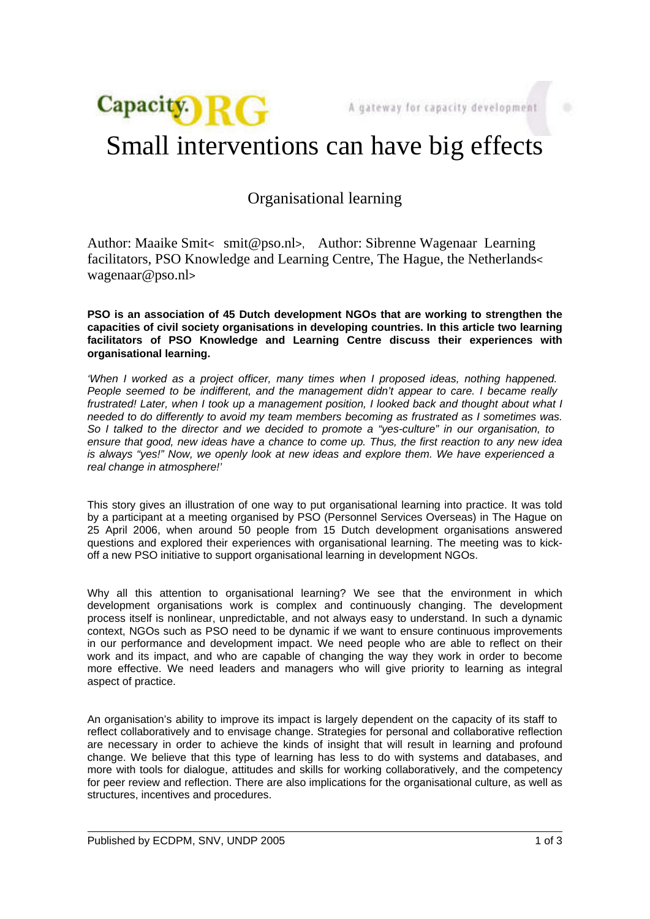

## Small interventions can have big effects

## Organisational learning

Author: Maaike Smit< smit@pso.nl>, Author: Sibrenne Wagenaar Learning facilitators, PSO Knowledge and Learning Centre, The Hague, the Netherlands< wagenaar@pso.nl>

**PSO is an association of 45 Dutch development NGOs that are working to strengthen the capacities of civil society organisations in developing countries. In this article two learning facilitators of PSO Knowledge and Learning Centre discuss their experiences with organisational learning.**

'When I worked as a project officer, many times when I proposed ideas, nothing happened. People seemed to be indifferent, and the management didn't appear to care. I became really frustrated! Later, when I took up a management position, I looked back and thought about what I needed to do differently to avoid my team members becoming as frustrated as I sometimes was. So I talked to the director and we decided to promote a "yes-culture" in our organisation, to ensure that good, new ideas have a chance to come up. Thus, the first reaction to any new idea is always "yes!" Now, we openly look at new ideas and explore them. We have experienced a real change in atmosphere!'

This story gives an illustration of one way to put organisational learning into practice. It was told by a participant at a meeting organised by PSO (Personnel Services Overseas) in The Hague on 25 April 2006, when around 50 people from 15 Dutch development organisations answered questions and explored their experiences with organisational learning. The meeting was to kickoff a new PSO initiative to support organisational learning in development NGOs.

Why all this attention to organisational learning? We see that the environment in which development organisations work is complex and continuously changing. The development process itself is nonlinear, unpredictable, and not always easy to understand. In such a dynamic context, NGOs such as PSO need to be dynamic if we want to ensure continuous improvements in our performance and development impact. We need people who are able to reflect on their work and its impact, and who are capable of changing the way they work in order to become more effective. We need leaders and managers who will give priority to learning as integral aspect of practice.

An organisation's ability to improve its impact is largely dependent on the capacity of its staff to reflect collaboratively and to envisage change. Strategies for personal and collaborative reflection are necessary in order to achieve the kinds of insight that will result in learning and profound change. We believe that this type of learning has less to do with systems and databases, and more with tools for dialogue, attitudes and skills for working collaboratively, and the competency for peer review and reflection. There are also implications for the organisational culture, as well as structures, incentives and procedures.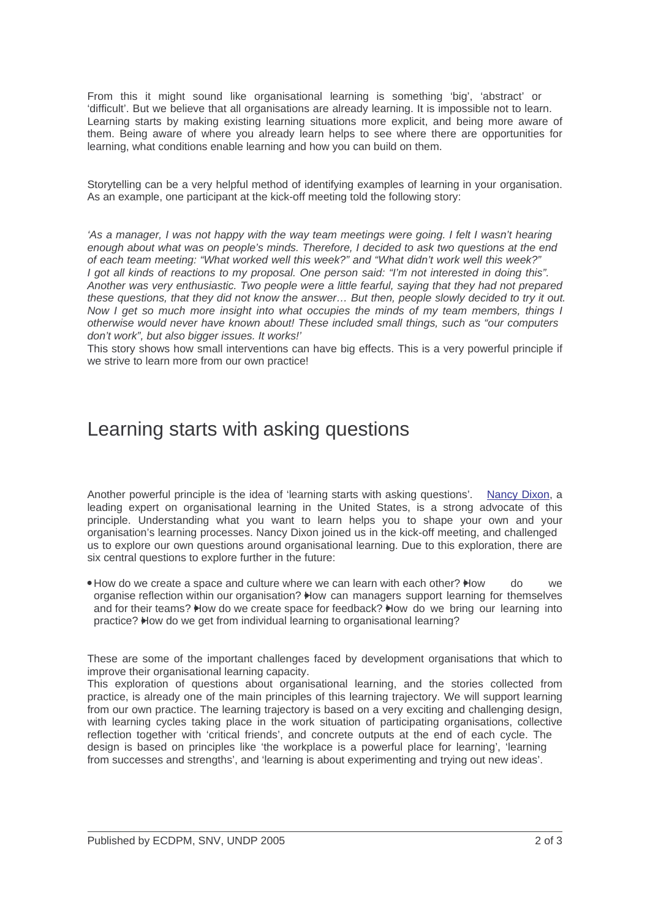From this it might sound like organisational learning is something 'big', 'abstract' or 'difficult'. But we believe that all organisations are already learning. It is impossible not to learn. Learning starts by making existing learning situations more explicit, and being more aware of them. Being aware of where you already learn helps to see where there are opportunities for learning, what conditions enable learning and how you can build on them.

Storytelling can be a very helpful method of identifying examples of learning in your organisation. As an example, one participant at the kick-off meeting told the following story:

'As a manager, I was not happy with the way team meetings were going. I felt I wasn't hearing enough about what was on people's minds. Therefore, I decided to ask two questions at the end of each team meeting: "What worked well this week?" and "What didn't work well this week?" I got all kinds of reactions to my proposal. One person said: "I'm not interested in doing this". Another was very enthusiastic. Two people were a little fearful, saying that they had not prepared these questions, that they did not know the answer… But then, people slowly decided to try it out. Now I get so much more insight into what occupies the minds of my team members, things I otherwise would never have known about! These included small things, such as "our computers don't work", but also bigger issues. It works!'

This story shows how small interventions can have big effects. This is a very powerful principle if we strive to learn more from our own practice!

## Learning starts with asking questions

Another powerful principle is the idea of 'learning starts with asking questions'. Nancy Dixon, a leading expert on organisational learning in the United States, is a strong advocate of this principle. Understanding what you want to learn helps you to shape your own and your organisation's learning processes. Nancy Dixon joined us in the kick-off meeting, and challenged us to explore our own questions around organisational learning. Due to this explo[ration, there a]("http://www.commonknowledge.org/page.asp?id=29")re six central questions to explore further in the future:

• How do we create a space and culture where we can learn with each other? How do we organise reflection within our organisation? How can managers support learning for themselves and for their teams? How do we create space for feedback? How do we bring our learning into practice? How do we get from individual learning to organisational learning?

These are some of the important challenges faced by development organisations that which to improve their organisational learning capacity.

This exploration of questions about organisational learning, and the stories collected from practice, is already one of the main principles of this learning trajectory. We will support learning from our own practice. The learning trajectory is based on a very exciting and challenging design, with learning cycles taking place in the work situation of participating organisations, collective reflection together with 'critical friends', and concrete outputs at the end of each cycle. The design is based on principles like 'the workplace is a powerful place for learning', 'learning from successes and strengths', and 'learning is about experimenting and trying out new ideas'.